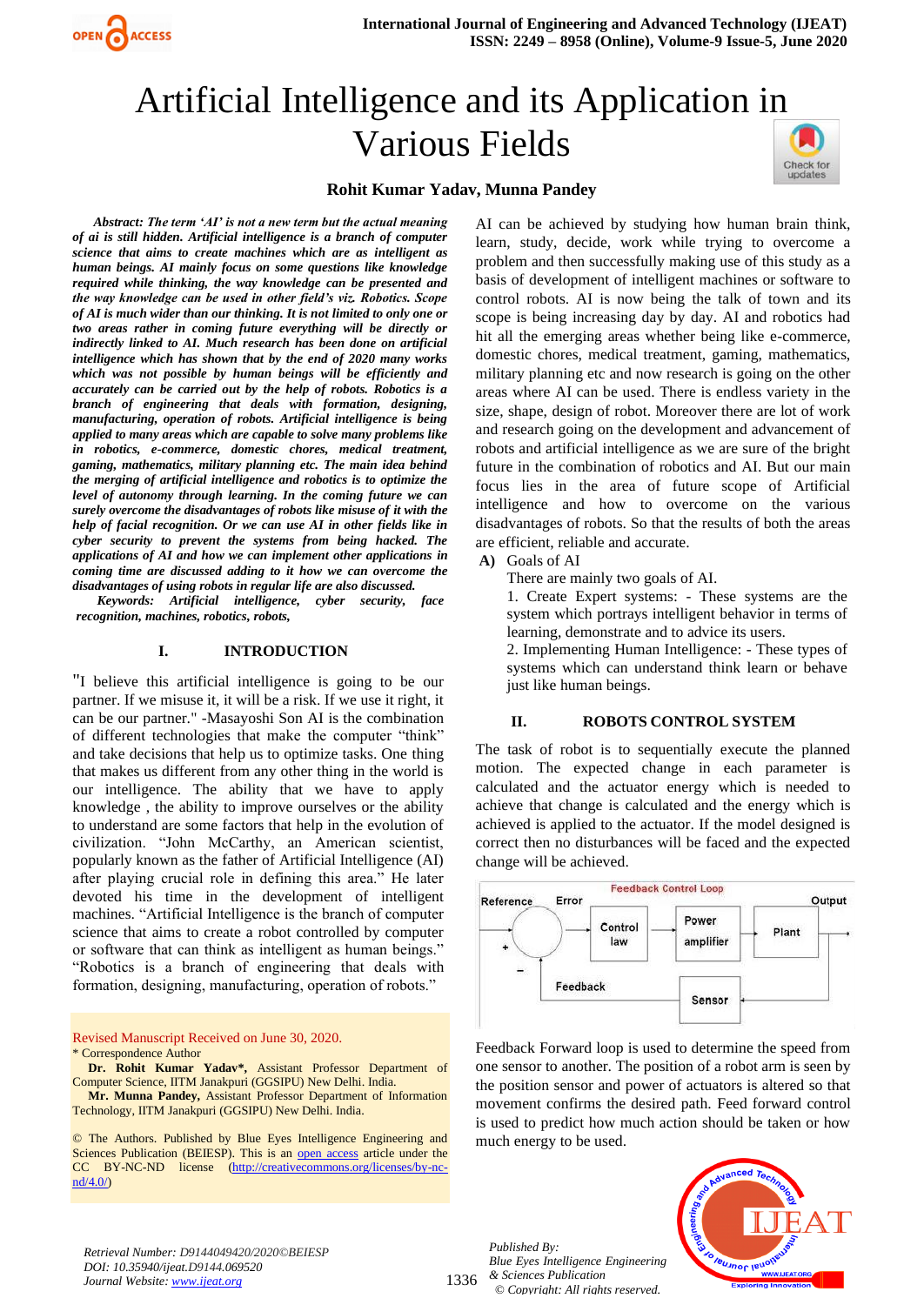

# Artificial Intelligence and its Application in Various Fields



#### **Rohit Kumar Yadav, Munna Pandey**

*Abstract: The term 'AI' is not a new term but the actual meaning of ai is still hidden. Artificial intelligence is a branch of computer science that aims to create machines which are as intelligent as human beings. AI mainly focus on some questions like knowledge required while thinking, the way knowledge can be presented and the way knowledge can be used in other field's viz. Robotics. Scope of AI is much wider than our thinking. It is not limited to only one or two areas rather in coming future everything will be directly or indirectly linked to AI. Much research has been done on artificial intelligence which has shown that by the end of 2020 many works which was not possible by human beings will be efficiently and accurately can be carried out by the help of robots. Robotics is a branch of engineering that deals with formation, designing, manufacturing, operation of robots. Artificial intelligence is being applied to many areas which are capable to solve many problems like in robotics, e-commerce, domestic chores, medical treatment, gaming, mathematics, military planning etc. The main idea behind the merging of artificial intelligence and robotics is to optimize the level of autonomy through learning. In the coming future we can surely overcome the disadvantages of robots like misuse of it with the help of facial recognition. Or we can use AI in other fields like in cyber security to prevent the systems from being hacked. The applications of AI and how we can implement other applications in coming time are discussed adding to it how we can overcome the disadvantages of using robots in regular life are also discussed.*

OPEN CACCESS

*Keywords: Artificial intelligence, cyber security, face recognition, machines, robotics, robots,*

#### **I. INTRODUCTION**

"I believe this artificial intelligence is going to be our partner. If we misuse it, it will be a risk. If we use it right, it can be our partner." -Masayoshi Son AI is the combination of different technologies that make the computer "think" and take decisions that help us to optimize tasks. One thing that makes us different from any other thing in the world is our intelligence. The ability that we have to apply knowledge , the ability to improve ourselves or the ability to understand are some factors that help in the evolution of civilization. "John McCarthy, an American scientist, popularly known as the father of Artificial Intelligence (AI) after playing crucial role in defining this area." He later devoted his time in the development of intelligent machines. "Artificial Intelligence is the branch of computer science that aims to create a robot controlled by computer or software that can think as intelligent as human beings." "Robotics is a branch of engineering that deals with formation, designing, manufacturing, operation of robots."

Revised Manuscript Received on June 30, 2020. \* Correspondence Author

**Dr. Rohit Kumar Yadav\*,** Assistant Professor Department of Computer Science, IITM Janakpuri (GGSIPU) New Delhi. India.

**Mr. Munna Pandey,** Assistant Professor Department of Information Technology, IITM Janakpuri (GGSIPU) New Delhi. India.

© The Authors. Published by Blue Eyes Intelligence Engineering and Sciences Publication (BEIESP). This is an [open access](https://www.openaccess.nl/en/open-publications) article under the CC BY-NC-ND license [\(http://creativecommons.org/licenses/by-nc](http://creativecommons.org/licenses/by-nc-nd/4.0/)[nd/4.0/\)](http://creativecommons.org/licenses/by-nc-nd/4.0/)

AI can be achieved by studying how human brain think, learn, study, decide, work while trying to overcome a problem and then successfully making use of this study as a basis of development of intelligent machines or software to control robots. AI is now being the talk of town and its scope is being increasing day by day. AI and robotics had hit all the emerging areas whether being like e-commerce, domestic chores, medical treatment, gaming, mathematics, military planning etc and now research is going on the other areas where AI can be used. There is endless variety in the size, shape, design of robot. Moreover there are lot of work and research going on the development and advancement of robots and artificial intelligence as we are sure of the bright future in the combination of robotics and AI. But our main focus lies in the area of future scope of Artificial intelligence and how to overcome on the various disadvantages of robots. So that the results of both the areas are efficient, reliable and accurate.

**A)** Goals of AI

There are mainly two goals of AI.

1. Create Expert systems: - These systems are the system which portrays intelligent behavior in terms of learning, demonstrate and to advice its users.

2. Implementing Human Intelligence: - These types of systems which can understand think learn or behave just like human beings.

#### **II. ROBOTS CONTROL SYSTEM**

The task of robot is to sequentially execute the planned motion. The expected change in each parameter is calculated and the actuator energy which is needed to achieve that change is calculated and the energy which is achieved is applied to the actuator. If the model designed is correct then no disturbances will be faced and the expected change will be achieved.



Feedback Forward loop is used to determine the speed from one sensor to another. The position of a robot arm is seen by the position sensor and power of actuators is altered so that movement confirms the desired path. Feed forward control is used to predict how much action should be taken or how much energy to be used.

*Retrieval Number: D9144049420/2020©BEIESP DOI: 10.35940/ijeat.D9144.069520 Journal Website[: www.ijeat.org](http://www.ijeat.org/)*

1336 *& Sciences Publication Published By: Blue Eyes Intelligence Engineering © Copyright: All rights reserved.*

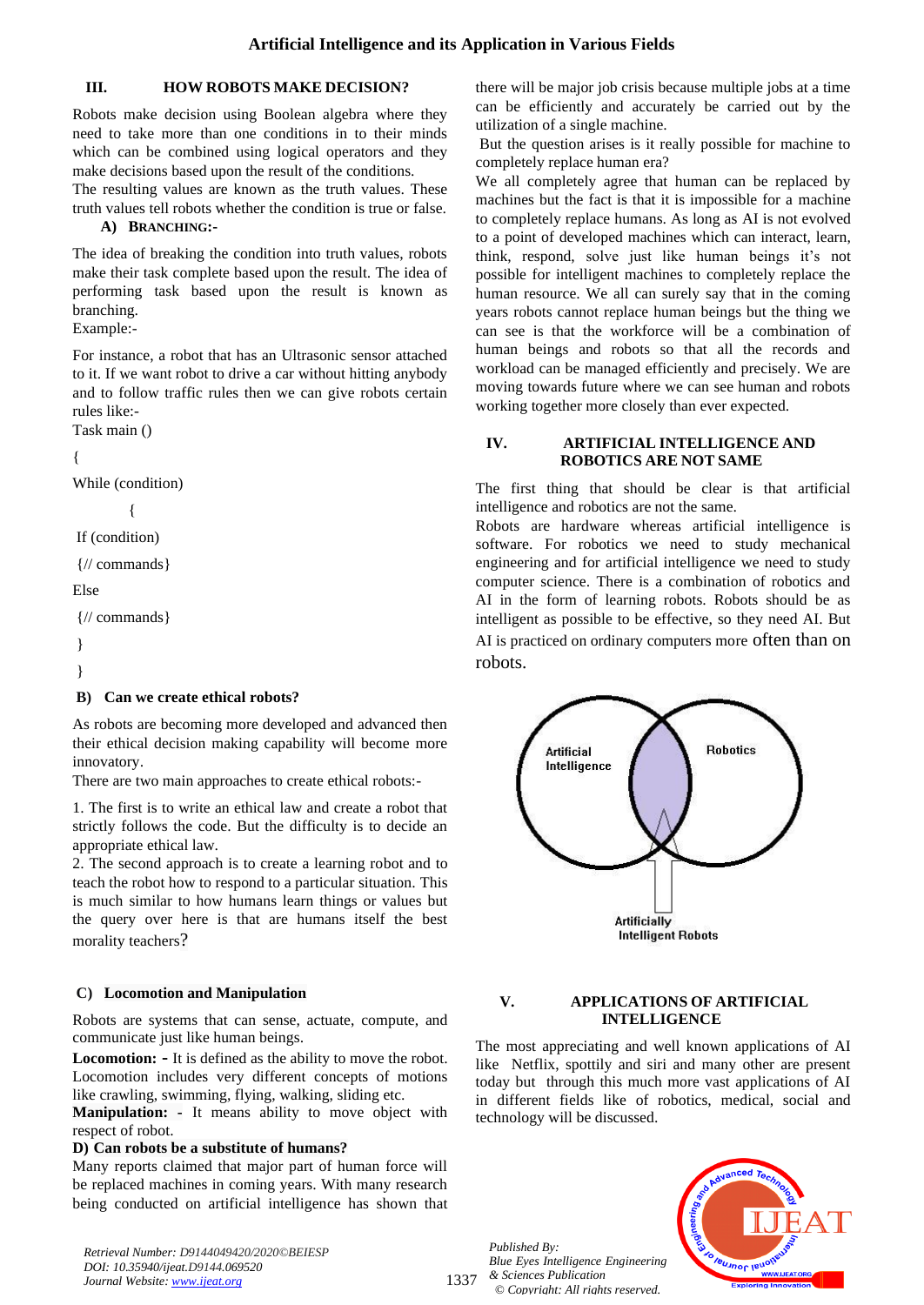# **III. HOW ROBOTS MAKE DECISION?**

Robots make decision using Boolean algebra where they need to take more than one conditions in to their minds which can be combined using logical operators and they make decisions based upon the result of the conditions.

The resulting values are known as the truth values. These truth values tell robots whether the condition is true or false.

# **A) BRANCHING:-**

The idea of breaking the condition into truth values, robots make their task complete based upon the result. The idea of performing task based upon the result is known as branching.

Example:-

For instance, a robot that has an Ultrasonic sensor attached to it. If we want robot to drive a car without hitting anybody and to follow traffic rules then we can give robots certain rules like:-

Task main ()

# {

While (condition) {

If (condition)

```
{// commands}
```
Else

```
{// commands}
```
}

```
}
```
# **B) Can we create ethical robots?**

As robots are becoming more developed and advanced then their ethical decision making capability will become more innovatory.

There are two main approaches to create ethical robots:-

1. The first is to write an ethical law and create a robot that strictly follows the code. But the difficulty is to decide an appropriate ethical law.

2. The second approach is to create a learning robot and to teach the robot how to respond to a particular situation. This is much similar to how humans learn things or values but the query over here is that are humans itself the best morality teachers?

# **C) Locomotion and Manipulation**

Robots are systems that can sense, actuate, compute, and communicate just like human beings.

**Locomotion: -** It is defined as the ability to move the robot. Locomotion includes very different concepts of motions like crawling, swimming, flying, walking, sliding etc.

**Manipulation: -** It means ability to move object with respect of robot.

## **D) Can robots be a substitute of humans?**

Many reports claimed that major part of human force will be replaced machines in coming years. With many research being conducted on artificial intelligence has shown that

*Retrieval Number: D9144049420/2020©BEIESP DOI: 10.35940/ijeat.D9144.069520 Journal Website[: www.ijeat.org](http://www.ijeat.org/)*

there will be major job crisis because multiple jobs at a time can be efficiently and accurately be carried out by the utilization of a single machine.

But the question arises is it really possible for machine to completely replace human era?

We all completely agree that human can be replaced by machines but the fact is that it is impossible for a machine to completely replace humans. As long as AI is not evolved to a point of developed machines which can interact, learn, think, respond, solve just like human beings it's not possible for intelligent machines to completely replace the human resource. We all can surely say that in the coming years robots cannot replace human beings but the thing we can see is that the workforce will be a combination of human beings and robots so that all the records and workload can be managed efficiently and precisely. We are moving towards future where we can see human and robots working together more closely than ever expected.

# **IV. ARTIFICIAL INTELLIGENCE AND ROBOTICS ARE NOT SAME**

The first thing that should be clear is that artificial intelligence and robotics are not the same.

Robots are hardware whereas artificial intelligence is software. For robotics we need to study mechanical engineering and for artificial intelligence we need to study computer science. There is a combination of robotics and AI in the form of learning robots. Robots should be as intelligent as possible to be effective, so they need AI. But AI is practiced on ordinary computers more often than on robots.



## **V. APPLICATIONS OF ARTIFICIAL INTELLIGENCE**

The most appreciating and well known applications of AI like Netflix, spottily and siri and many other are present today but through this much more vast applications of AI in different fields like of robotics, medical, social and technology will be discussed.

1337 *Published By: Blue Eyes Intelligence Engineering & Sciences Publication © Copyright: All rights reserved.*

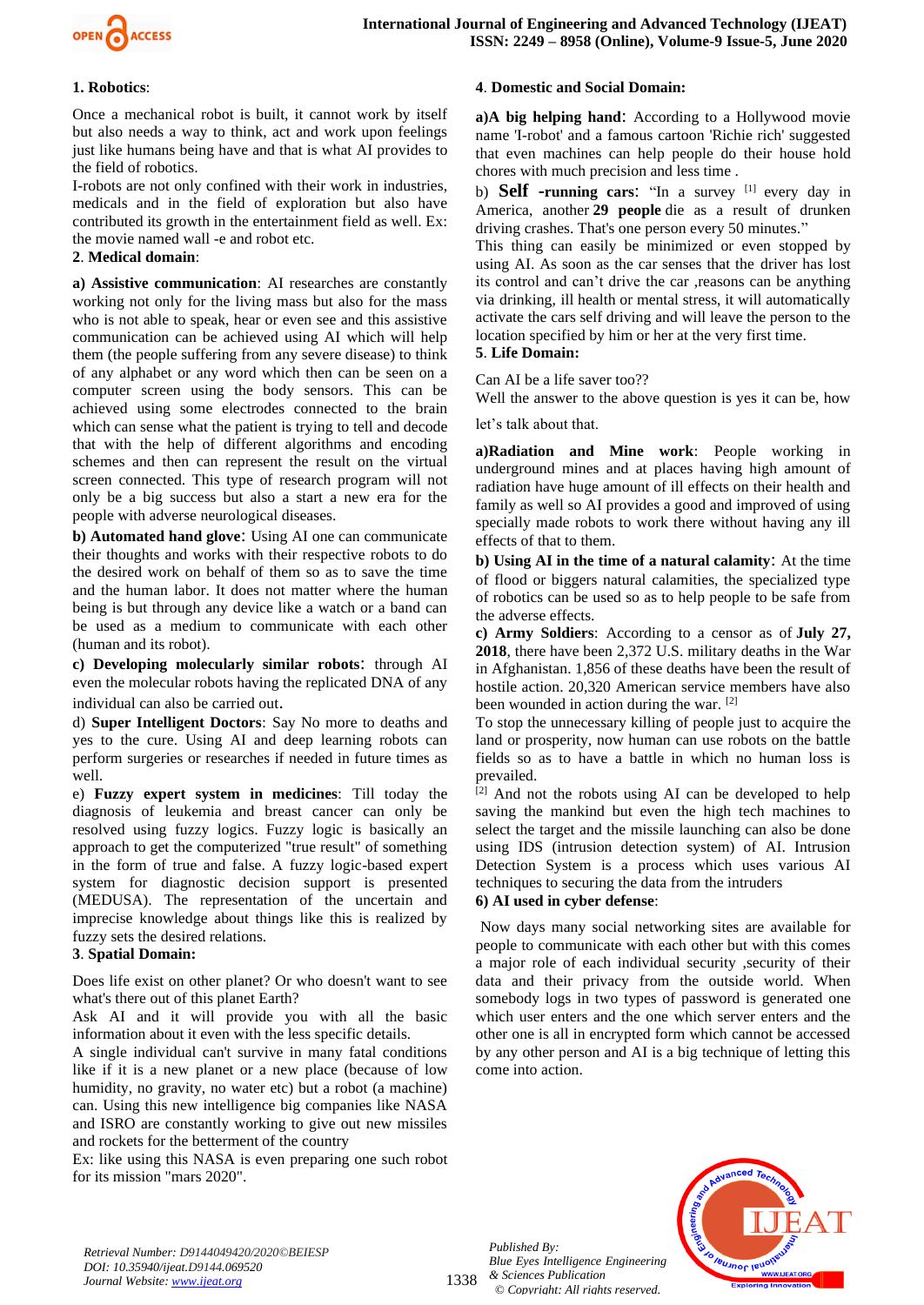

#### **1. Robotics**:

Once a mechanical robot is built, it cannot work by itself but also needs a way to think, act and work upon feelings just like humans being have and that is what AI provides to the field of robotics.

I-robots are not only confined with their work in industries, medicals and in the field of exploration but also have contributed its growth in the entertainment field as well. Ex: the movie named wall -e and robot etc.

### **2**. **Medical domain**:

**a) Assistive communication**: AI researches are constantly working not only for the living mass but also for the mass who is not able to speak, hear or even see and this assistive communication can be achieved using AI which will help them (the people suffering from any severe disease) to think of any alphabet or any word which then can be seen on a computer screen using the body sensors. This can be achieved using some electrodes connected to the brain which can sense what the patient is trying to tell and decode that with the help of different algorithms and encoding schemes and then can represent the result on the virtual screen connected. This type of research program will not only be a big success but also a start a new era for the people with adverse neurological diseases.

**b) Automated hand glove**: Using AI one can communicate their thoughts and works with their respective robots to do the desired work on behalf of them so as to save the time and the human labor. It does not matter where the human being is but through any device like a watch or a band can be used as a medium to communicate with each other (human and its robot).

**c) Developing molecularly similar robots**: through AI even the molecular robots having the replicated DNA of any individual can also be carried out.

d) **Super Intelligent Doctors**: Say No more to deaths and yes to the cure. Using AI and deep learning robots can perform surgeries or researches if needed in future times as well.

e) **Fuzzy expert system in medicines**: Till today the diagnosis of leukemia and breast cancer can only be resolved using fuzzy logics. Fuzzy logic is basically an approach to get the computerized "true result" of something in the form of true and false. A fuzzy logic-based expert system for diagnostic decision support is presented (MEDUSA). The representation of the uncertain and imprecise knowledge about things like this is realized by fuzzy sets the desired relations.

#### **3**. **Spatial Domain:**

Does life exist on other planet? Or who doesn't want to see what's there out of this planet Earth?

Ask AI and it will provide you with all the basic information about it even with the less specific details.

A single individual can't survive in many fatal conditions like if it is a new planet or a new place (because of low humidity, no gravity, no water etc) but a robot (a machine) can. Using this new intelligence big companies like NASA and ISRO are constantly working to give out new missiles and rockets for the betterment of the country

Ex: like using this NASA is even preparing one such robot for its mission "mars 2020".

#### **4**. **Domestic and Social Domain:**

**a)A big helping hand**: According to a Hollywood movie name 'I-robot' and a famous cartoon 'Richie rich' suggested that even machines can help people do their house hold chores with much precision and less time .

b) **Self -running cars**: "In a survey [1] every day in America, another **29 people** die as a result of drunken driving crashes. That's one person every 50 minutes."

This thing can easily be minimized or even stopped by using AI. As soon as the car senses that the driver has lost its control and can't drive the car ,reasons can be anything via drinking, ill health or mental stress, it will automatically activate the cars self driving and will leave the person to the location specified by him or her at the very first time. **5**. **Life Domain:**

# Can AI be a life saver too??

Well the answer to the above question is yes it can be, how

let's talk about that.

**a)Radiation and Mine work**: People working in underground mines and at places having high amount of radiation have huge amount of ill effects on their health and family as well so AI provides a good and improved of using specially made robots to work there without having any ill effects of that to them.

**b) Using AI in the time of a natural calamity**: At the time of flood or biggers natural calamities, the specialized type of robotics can be used so as to help people to be safe from the adverse effects.

**c) Army Soldiers**: According to a censor as of **July 27, 2018**, there have been 2,372 U.S. military deaths in the War in Afghanistan. 1,856 of these deaths have been the result of hostile action. 20,320 American service members have also been wounded in action during the war. [2]

To stop the unnecessary killing of people just to acquire the land or prosperity, now human can use robots on the battle fields so as to have a battle in which no human loss is prevailed.

[2] And not the robots using AI can be developed to help saving the mankind but even the high tech machines to select the target and the missile launching can also be done using IDS (intrusion detection system) of AI. Intrusion Detection System is a process which uses various AI techniques to securing the data from the intruders

#### **6) AI used in cyber defense**:

Now days many social networking sites are available for people to communicate with each other but with this comes a major role of each individual security ,security of their data and their privacy from the outside world. When somebody logs in two types of password is generated one which user enters and the one which server enters and the other one is all in encrypted form which cannot be accessed by any other person and AI is a big technique of letting this come into action.

*Retrieval Number: D9144049420/2020©BEIESP DOI: 10.35940/ijeat.D9144.069520 Journal Website[: www.ijeat.org](http://www.ijeat.org/)*

1338 *& Sciences Publication Published By: Blue Eyes Intelligence Engineering © Copyright: All rights reserved.*